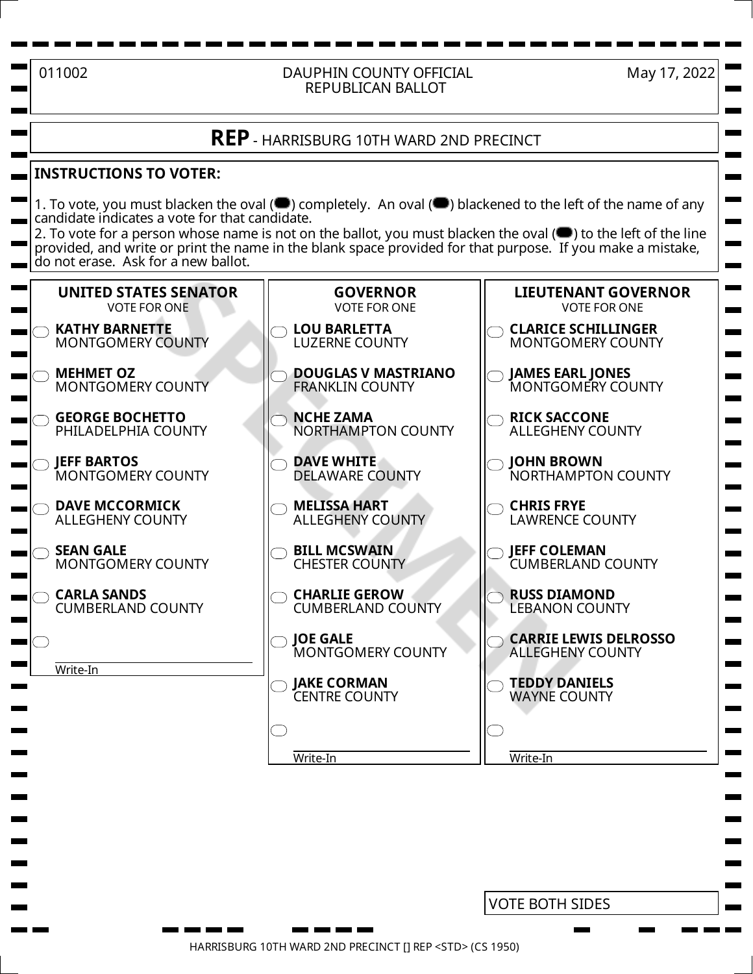## 011002 DAUPHIN COUNTY OFFICIAL REPUBLICAN BALLOT

May 17, 2022

## **REP**- HARRISBURG 10TH WARD 2ND PRECINCT

## **INSTRUCTIONS TO VOTER:**

1. To vote, you must blacken the oval (<sup>1</sup>) completely. An oval (<sup>2</sup>) blackened to the left of the name of any candidate indicates a vote for that candidate.

2. To vote for a person whose name is not on the ballot, you must blacken the oval  $($ , to the left of the line provided, and write or print the name in the blank space provided for that purpose. If you make a mistake, do not erase. Ask for a new ballot.



VOTE BOTH SIDES